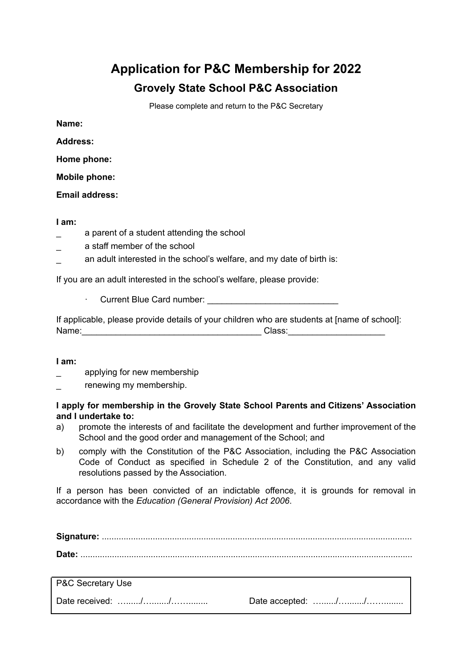## **Application for P&C Membership for 2022 Grovely State School P&C Association**

Please complete and return to the P&C Secretary

**Name:**

**Address:**

**Home phone:**

**Mobile phone:**

**Email address:**

**I am:**

- a parent of a student attending the school
- \_ a staff member of the school
- an adult interested in the school's welfare, and my date of birth is:

If you are an adult interested in the school's welfare, please provide:

· Current Blue Card number:

If applicable, please provide details of your children who are students at [name of school]: Name:\_\_\_\_\_\_\_\_\_\_\_\_\_\_\_\_\_\_\_\_\_\_\_\_\_\_\_\_\_\_\_\_\_\_\_\_\_ Class:\_\_\_\_\_\_\_\_\_\_\_\_\_\_\_\_\_\_\_\_

**I am:**

- applying for new membership
- renewing my membership.

## **I apply for membership in the Grovely State School Parents and Citizens' Association and I undertake to:**

- a) promote the interests of and facilitate the development and further improvement of the School and the good order and management of the School; and
- b) comply with the Constitution of the P&C Association, including the P&C Association Code of Conduct as specified in Schedule 2 of the Constitution, and any valid resolutions passed by the Association.

If a person has been convicted of an indictable offence, it is grounds for removal in accordance with the *Education (General Provision) Act 2006*.

| P&C Secretary Use |  |
|-------------------|--|
|                   |  |